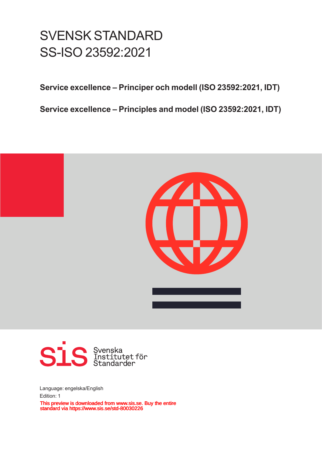# SVENSK STANDARD SS-ISO 23592:2021

**Service excellence – Principer och modell (ISO 23592:2021, IDT)**

**Service excellence – Principles and model (ISO 23592:2021, IDT)**





Language: engelska/English Edition: 1 This preview is downloaded from www.sis.se. Buy the entire standard via https://www.sis.se/std-80030226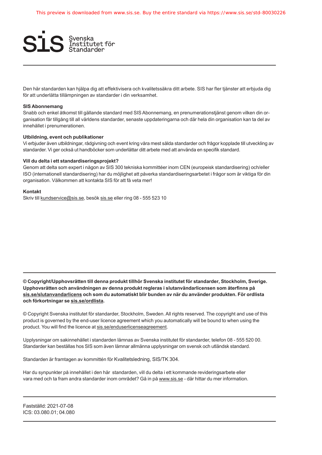

Den här standarden kan hjälpa dig att effektivisera och kvalitetssäkra ditt arbete. SIS har fler tjänster att erbjuda dig för att underlätta tillämpningen av standarder i din verksamhet.

#### **SIS Abonnemang**

Snabb och enkel åtkomst till gällande standard med SIS Abonnemang, en prenumerationstjänst genom vilken din organisation får tillgång till all världens standarder, senaste uppdateringarna och där hela din organisation kan ta del av innehållet i prenumerationen.

#### **Utbildning, event och publikationer**

Vi erbjuder även utbildningar, rådgivning och event kring våra mest sålda standarder och frågor kopplade till utveckling av standarder. Vi ger också ut handböcker som underlättar ditt arbete med att använda en specifik standard.

#### **Vill du delta i ett standardiseringsprojekt?**

Genom att delta som expert i någon av SIS 300 tekniska kommittéer inom CEN (europeisk standardisering) och/eller ISO (internationell standardisering) har du möjlighet att påverka standardiseringsarbetet i frågor som är viktiga för din organisation. Välkommen att kontakta SIS för att få veta mer!

#### **Kontakt**

Skriv till kundservice@sis.se, besök sis.se eller ring 08 - 555 523 10

**© Copyright/Upphovsrätten till denna produkt tillhör Svenska institutet för standarder, Stockholm, Sverige. Upphovsrätten och användningen av denna produkt regleras i slutanvändarlicensen som återfinns på sis.se/slutanvandarlicens och som du automatiskt blir bunden av när du använder produkten. För ordlista och förkortningar se sis.se/ordlista.**

© Copyright Svenska institutet för standarder, Stockholm, Sweden. All rights reserved. The copyright and use of this product is governed by the end-user licence agreement which you automatically will be bound to when using the product. You will find the licence at sis.se/enduserlicenseagreement.

Upplysningar om sakinnehållet i standarden lämnas av Svenska institutet för standarder, telefon 08 - 555 520 00. Standarder kan beställas hos SIS som även lämnar allmänna upplysningar om svensk och utländsk standard.

Standarden är framtagen av kommittén för Kvalitetsledning, SIS/TK 304.

Har du synpunkter på innehållet i den här standarden, vill du delta i ett kommande revideringsarbete eller vara med och ta fram andra standarder inom området? Gå in på www.sis.se - där hittar du mer information.

Fastställd: 2021-07-08 ICS: 03.080.01; 04.080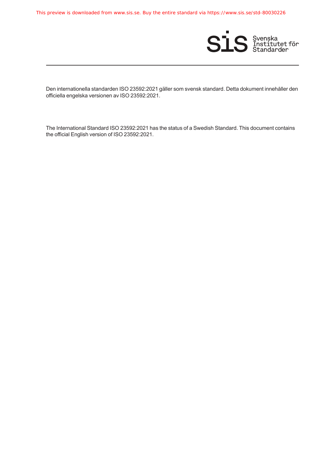This preview is downloaded from www.sis.se. Buy the entire standard via https://www.sis.se/std-80030226



Den internationella standarden ISO 23592:2021 gäller som svensk standard. Detta dokument innehåller den officiella engelska versionen av ISO 23592:2021.

The International Standard ISO 23592:2021 has the status of a Swedish Standard. This document contains the official English version of ISO 23592:2021.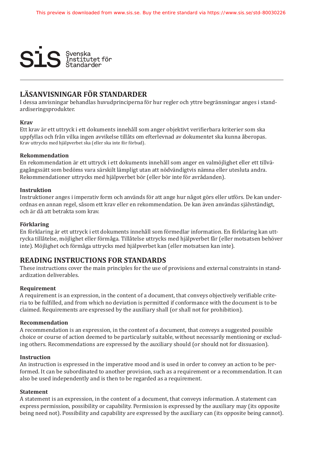

### **LÄSANVISNINGAR FÖR STANDARDER**

I dessa anvisningar behandlas huvudprinciperna för hur regler och yttre begränsningar anges i standardiseringsprodukter.

#### **Krav**

Ett krav är ett uttryck i ett dokuments innehåll som anger objektivt verifierbara kriterier som ska uppfyllas och från vilka ingen avvikelse tillåts om efterlevnad av dokumentet ska kunna åberopas. Krav uttrycks med hjälpverbet ska (eller ska inte för förbud).

#### **Rekommendation**

En rekommendation är ett uttryck i ett dokuments innehåll som anger en valmöjlighet eller ett tillvägagångssätt som bedöms vara särskilt lämpligt utan att nödvändigtvis nämna eller utesluta andra. Rekommendationer uttrycks med hjälpverbet bör (eller bör inte för avrådanden).

#### **Instruktion**

Instruktioner anges i imperativ form och används för att ange hur något görs eller utförs. De kan underordnas en annan regel, såsom ett krav eller en rekommendation. De kan även användas självständigt, och är då att betrakta som krav.

#### **Förklaring**

En förklaring är ett uttryck i ett dokuments innehåll som förmedlar information. En förklaring kan uttrycka tillåtelse, möjlighet eller förmåga. Tillåtelse uttrycks med hjälpverbet får (eller motsatsen behöver inte). Möjlighet och förmåga uttrycks med hjälpverbet kan (eller motsatsen kan inte).

#### **READING INSTRUCTIONS FOR STANDARDS**

These instructions cover the main principles for the use of provisions and external constraints in standardization deliverables.

#### **Requirement**

A requirement is an expression, in the content of a document, that conveys objectively verifiable criteria to be fulfilled, and from which no deviation is permitted if conformance with the document is to be claimed. Requirements are expressed by the auxiliary shall (or shall not for prohibition).

#### **Recommendation**

A recommendation is an expression, in the content of a document, that conveys a suggested possible choice or course of action deemed to be particularly suitable, without necessarily mentioning or excluding others. Recommendations are expressed by the auxiliary should (or should not for dissuasion).

#### **Instruction**

An instruction is expressed in the imperative mood and is used in order to convey an action to be performed. It can be subordinated to another provision, such as a requirement or a recommendation. It can also be used independently and is then to be regarded as a requirement.

#### **Statement**

A statement is an expression, in the content of a document, that conveys information. A statement can express permission, possibility or capability. Permission is expressed by the auxiliary may (its opposite being need not). Possibility and capability are expressed by the auxiliary can (its opposite being cannot).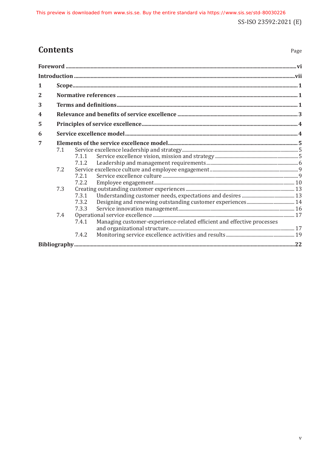## **Contents**

| 2                       |                          |                                                                      |                                                                        |  |
|-------------------------|--------------------------|----------------------------------------------------------------------|------------------------------------------------------------------------|--|
| 3                       |                          |                                                                      |                                                                        |  |
| $\overline{\mathbf{4}}$ |                          |                                                                      |                                                                        |  |
| 5                       |                          |                                                                      |                                                                        |  |
| 6                       |                          |                                                                      |                                                                        |  |
|                         | 7.1<br>7.2<br>7.3<br>7.4 | 7.1.1<br>7.1.2<br>7.2.1<br>7.2.2<br>7.3.1<br>7.3.2<br>7.3.3<br>7.4.1 | Managing customer-experience-related efficient and effective processes |  |
|                         |                          | 7.4.2                                                                |                                                                        |  |
|                         |                          |                                                                      |                                                                        |  |

Page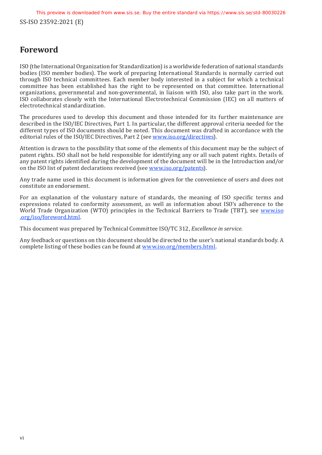SS-ISO 23592:2021 (E) This preview is downloaded from www.sis.se. Buy the entire standard via https://www.sis.se/std-80030226

## <span id="page-5-0"></span>**Foreword**

ISO (the International Organization for Standardization) is a worldwide federation of national standards bodies (ISO member bodies). The work of preparing International Standards is normally carried out through ISO technical committees. Each member body interested in a subject for which a technical committee has been established has the right to be represented on that committee. International organizations, governmental and non-governmental, in liaison with ISO, also take part in the work. ISO collaborates closely with the International Electrotechnical Commission (IEC) on all matters of electrotechnical standardization.

The procedures used to develop this document and those intended for its further maintenance are described in the ISO/IEC Directives, Part 1. In particular, the different approval criteria needed for the different types of ISO documents should be noted. This document was drafted in accordance with the editorial rules of the ISO/IEC Directives, Part 2 (see [www.iso.org/directives\)](https://www.iso.org/directives-and-policies.html).

Attention is drawn to the possibility that some of the elements of this document may be the subject of patent rights. ISO shall not be held responsible for identifying any or all such patent rights. Details of any patent rights identified during the development of the document will be in the Introduction and/or on the ISO list of patent declarations received (see [www.iso.org/patents](https://www.iso.org/iso-standards-and-patents.html)).

Any trade name used in this document is information given for the convenience of users and does not constitute an endorsement.

For an explanation of the voluntary nature of standards, the meaning of ISO specific terms and expressions related to conformity assessment, as well as information about ISO's adherence to the World Trade Organization (WTO) principles in the Technical Barriers to Trade (TBT), see [www.iso](https://www.iso.org/foreword-supplementary-information.html) [.org/iso/foreword.html](https://www.iso.org/foreword-supplementary-information.html).

This document was prepared by Technical Committee ISO/TC 312, *Excellence in service*.

Any feedback or questions on this document should be directed to the user's national standards body. A complete listing of these bodies can be found at [www.iso.org/members.html.](https://www.iso.org/members.html)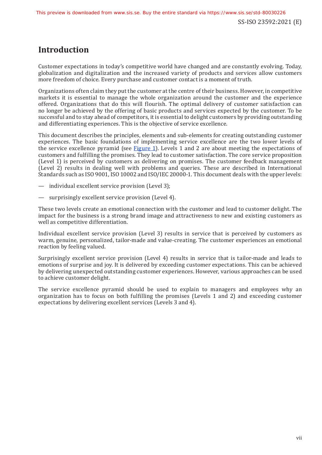## <span id="page-6-0"></span>**Introduction**

Customer expectations in today's competitive world have changed and are constantly evolving. Today, globalization and digitalization and the increased variety of products and services allow customers more freedom of choice. Every purchase and customer contact is a moment of truth.

Organizations often claim they put the customer at the centre of their business. However, in competitive markets it is essential to manage the whole organization around the customer and the experience offered. Organizations that do this will flourish. The optimal delivery of customer satisfaction can no longer be achieved by the offering of basic products and services expected by the customer. To be successful and to stay ahead of competitors, it is essential to delight customers by providing outstanding and differentiating experiences. This is the objective of service excellence.

This document describes the principles, elements and sub-elements for creating outstanding customer experiences. The basic foundations of implementing service excellence are the two lower levels of the service excellence pyramid (see [Figure](#page-7-0) 1). Levels 1 and 2 are about meeting the expectations of customers and fulfilling the promises. They lead to customer satisfaction. The core service proposition (Level 1) is perceived by customers as delivering on promises. The customer feedback management (Level 2) results in dealing well with problems and queries. These are described in International Standards such as ISO 9001, ISO 10002 and ISO/IEC 20000-1. This document deals with the upper levels:

- individual excellent service provision (Level 3);
- surprisingly excellent service provision (Level 4).

These two levels create an emotional connection with the customer and lead to customer delight. The impact for the business is a strong brand image and attractiveness to new and existing customers as well as competitive differentiation.

Individual excellent service provision (Level 3) results in service that is perceived by customers as warm, genuine, personalized, tailor-made and value-creating. The customer experiences an emotional reaction by feeling valued.

Surprisingly excellent service provision (Level 4) results in service that is tailor-made and leads to emotions of surprise and joy. It is delivered by exceeding customer expectations. This can be achieved by delivering unexpected outstanding customer experiences. However, various approaches can be used to achieve customer delight.

The service excellence pyramid should be used to explain to managers and employees why an organization has to focus on both fulfilling the promises (Levels 1 and 2) and exceeding customer expectations by delivering excellent services (Levels 3 and 4).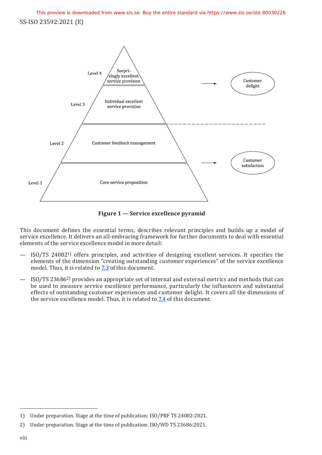SS-ISO 23592:2021 (E) This preview is downloaded from www.sis.se. Buy the entire standard via https://www.sis.se/std-80030226



<span id="page-7-0"></span>**Figure 1 — Service excellence pyramid**

This document defines the essential terms, describes relevant principles and builds up a model of service excellence. It delivers an all-embracing framework for further documents to deal with essential elements of the service excellence model in more detail:

- ISO/TS 240821) offers principles, and activities of designing excellent services. It specifies the elements of the dimension "creating outstanding customer experiences" of the service excellence model. Thus, it is related to **7.3** of this document.
- ISO/TS 236862) provides an appropriate set of internal and external metrics and methods that can be used to measure service excellence performance, particularly the influencers and substantial effects of outstanding customer experiences and customer delight. It covers all the dimensions of the service excellence model. Thus, it is related to 7.4 of this document.

<sup>1)</sup> Under preparation. Stage at the time of publication: ISO/PRF TS 24082:2021.

<sup>2)</sup> Under preparation. Stage at the time of publication: ISO/WD TS 23686:2021.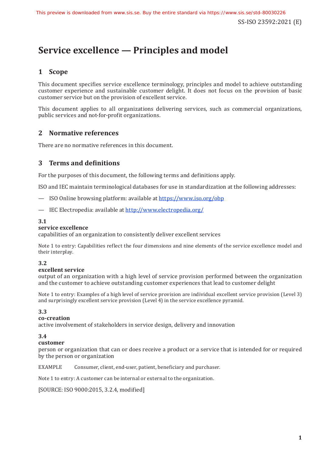## **Service excellence — Principles and model**

### <span id="page-8-0"></span>**1 Scope**

This document specifies service excellence terminology, principles and model to achieve outstanding customer experience and sustainable customer delight. It does not focus on the provision of basic customer service but on the provision of excellent service.

This document applies to all organizations delivering services, such as commercial organizations, public services and not-for-profit organizations.

#### <span id="page-8-1"></span>**2 Normative references**

There are no normative references in this document.

#### <span id="page-8-2"></span>**3 Terms and definitions**

For the purposes of this document, the following terms and definitions apply.

ISO and IEC maintain terminological databases for use in standardization at the following addresses:

- ISO Online browsing platform: available at [https://www.iso.org/obp](https://www.iso.org/obp/ui)
- IEC Electropedia: available at<http://www.electropedia.org/>

#### **3.1**

#### **service excellence**

capabilities of an organization to consistently deliver excellent services

Note 1 to entry: Capabilities reflect the four dimensions and nine elements of the service excellence model and their interplay.

#### **3.2**

#### **excellent service**

output of an organization with a high level of service provision performed between the organization and the customer to achieve outstanding customer experiences that lead to customer delight

Note 1 to entry: Examples of a high level of service provision are individual excellent service provision (Level 3) and surprisingly excellent service provision (Level 4) in the service excellence pyramid.

#### **3.3**

#### **co-creation**

active involvement of stakeholders in service design, delivery and innovation

#### **3.4**

#### **customer**

person or organization that can or does receive a product or a service that is intended for or required by the person or organization

EXAMPLE Consumer, client, end-user, patient, beneficiary and purchaser.

Note 1 to entry: A customer can be internal or external to the organization.

[SOURCE: ISO 9000:2015, 3.2.4, modified]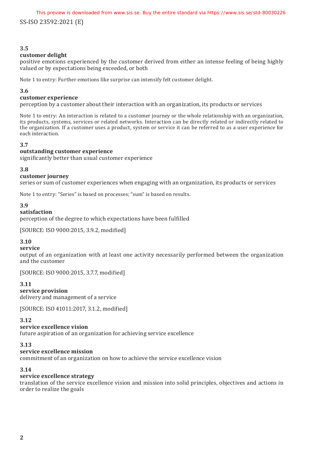This preview is downloaded from www.sis.se. Buy the entire standard via https://www.sis.se/std-80030226

SS-ISO 23592:2021 (E)

#### **3.5**

#### **customer delight**

positive emotions experienced by the customer derived from either an intense feeling of being highly valued or by expectations being exceeded, or both

Note 1 to entry: Further emotions like surprise can intensify felt customer delight.

#### **3.6**

#### **customer experience**

perception by a customer about their interaction with an organization, its products or services

Note 1 to entry: An interaction is related to a customer journey or the whole relationship with an organization, its products, systems, services or related networks. Interaction can be directly related or indirectly related to the organization. If a customer uses a product, system or service it can be referred to as a user experience for each interaction.

#### **3.7**

#### **outstanding customer experience**

significantly better than usual customer experience

#### **3.8**

#### **customer journey**

series or sum of customer experiences when engaging with an organization, its products or services

Note 1 to entry: "Series" is based on processes; "sum" is based on results.

#### **3.9**

#### **satisfaction**

perception of the degree to which expectations have been fulfilled

[SOURCE: ISO 9000:2015, 3.9.2, modified]

#### **3.10**

#### **service**

output of an organization with at least one activity necessarily performed between the organization and the customer

[SOURCE: ISO 9000:2015, 3.7.7, modified]

#### **3.11**

#### **service provision**

delivery and management of a service

[SOURCE: ISO 41011:2017, 3.1.2, modified]

#### **3.12**

#### **service excellence vision**

future aspiration of an organization for achieving service excellence

#### **3.13**

#### **service excellence mission**

commitment of an organization on how to achieve the service excellence vision

#### **3.14**

#### **service excellence strategy**

translation of the service excellence vision and mission into solid principles, objectives and actions in order to realize the goals